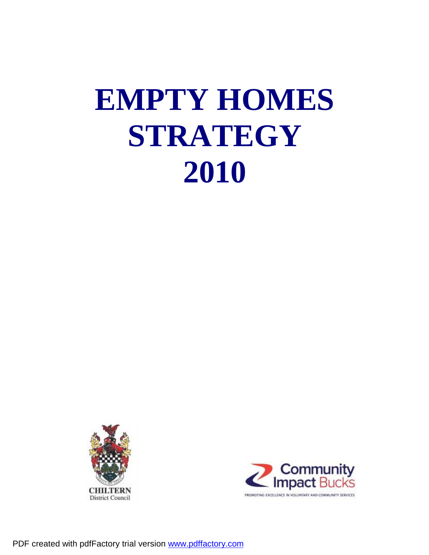## **EMPTY HOMES STRATEGY 2010**



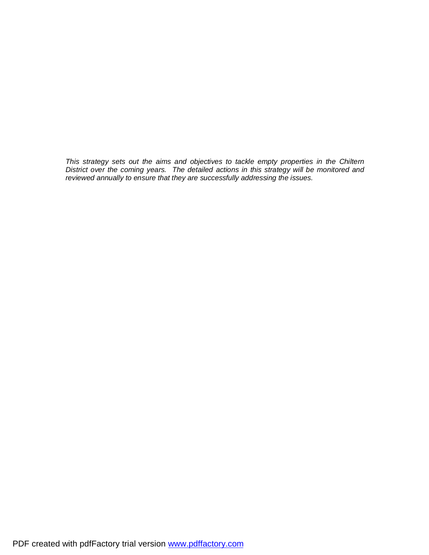*This strategy sets out the aims and objectives to tackle empty properties in the Chiltern District over the coming years. The detailed actions in this strategy will be monitored and reviewed annually to ensure that they are successfully addressing the issues.*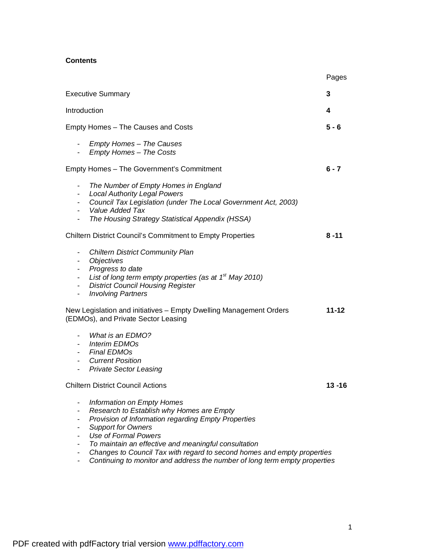### **Contents**

|                                                                                                                                                                                                                                                                                                                               | Pages     |
|-------------------------------------------------------------------------------------------------------------------------------------------------------------------------------------------------------------------------------------------------------------------------------------------------------------------------------|-----------|
| <b>Executive Summary</b>                                                                                                                                                                                                                                                                                                      | 3         |
| Introduction                                                                                                                                                                                                                                                                                                                  | 4         |
| Empty Homes - The Causes and Costs                                                                                                                                                                                                                                                                                            | $5 - 6$   |
| - Empty Homes – The Causes<br>- Empty Homes - The Costs                                                                                                                                                                                                                                                                       |           |
| Empty Homes - The Government's Commitment                                                                                                                                                                                                                                                                                     | $6 - 7$   |
| The Number of Empty Homes in England<br>$\blacksquare$<br><b>Local Authority Legal Powers</b><br>$\sim$<br>Council Tax Legislation (under The Local Government Act, 2003)<br>$\sim$<br>- Value Added Tax<br>The Housing Strategy Statistical Appendix (HSSA)<br>۰.                                                            |           |
| <b>Chiltern District Council's Commitment to Empty Properties</b>                                                                                                                                                                                                                                                             | $8 - 11$  |
| <b>Chiltern District Community Plan</b><br>$\blacksquare$<br>Objectives<br>$\sim$<br>Progress to date<br>$\sim$<br>List of long term empty properties (as at $1st$ May 2010)<br>۰.<br><b>District Council Housing Register</b><br>$\blacksquare$<br><b>Involving Partners</b><br>$\blacksquare$                               |           |
| New Legislation and initiatives - Empty Dwelling Management Orders<br>(EDMOs), and Private Sector Leasing                                                                                                                                                                                                                     | $11 - 12$ |
| What is an EDMO?<br>$\blacksquare$<br><b>Interim EDMOs</b><br>$\sim$ 100 $\mu$<br>- Final EDMOs<br>- Current Position<br><b>Private Sector Leasing</b><br>$\sim$                                                                                                                                                              |           |
| <b>Chiltern District Council Actions</b>                                                                                                                                                                                                                                                                                      | $13 - 16$ |
| Information on Empty Homes<br>Research to Establish why Homes are Empty<br>Provision of Information regarding Empty Properties<br><b>Support for Owners</b><br><b>Use of Formal Powers</b><br>To maintain an effective and meaningful consultation<br>Changes to Council Tax with regard to second homes and empty properties |           |
| Continuing to monitor and address the number of long term empty properties                                                                                                                                                                                                                                                    |           |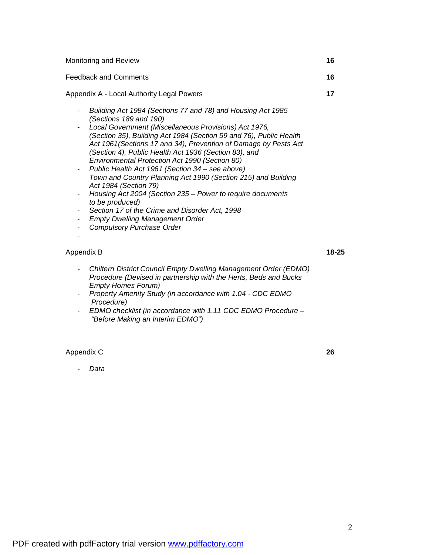| Feedback and Comments                                                                                                                                                                                                                                                                                                                                                                                                                                                                                                                                                                                                                                                                                                                                             | 16    |
|-------------------------------------------------------------------------------------------------------------------------------------------------------------------------------------------------------------------------------------------------------------------------------------------------------------------------------------------------------------------------------------------------------------------------------------------------------------------------------------------------------------------------------------------------------------------------------------------------------------------------------------------------------------------------------------------------------------------------------------------------------------------|-------|
| Appendix A - Local Authority Legal Powers                                                                                                                                                                                                                                                                                                                                                                                                                                                                                                                                                                                                                                                                                                                         | 17    |
| Building Act 1984 (Sections 77 and 78) and Housing Act 1985<br>(Sections 189 and 190)<br>Local Government (Miscellaneous Provisions) Act 1976,<br>(Section 35), Building Act 1984 (Section 59 and 76), Public Health<br>Act 1961 (Sections 17 and 34), Prevention of Damage by Pests Act<br>(Section 4), Public Health Act 1936 (Section 83), and<br>Environmental Protection Act 1990 (Section 80)<br>Public Health Act 1961 (Section 34 – see above)<br>Town and Country Planning Act 1990 (Section 215) and Building<br>Act 1984 (Section 79)<br>Housing Act 2004 (Section 235 – Power to require documents<br>to be produced)<br>Section 17 of the Crime and Disorder Act, 1998<br><b>Empty Dwelling Management Order</b><br><b>Compulsory Purchase Order</b> |       |
| Appendix B                                                                                                                                                                                                                                                                                                                                                                                                                                                                                                                                                                                                                                                                                                                                                        | 18-25 |

Monitoring and Review **16** 

- *Chiltern District Council Empty Dwelling Management Order (EDMO) Procedure (Devised in partnership with the Herts, Beds and Bucks Empty Homes Forum)*
- *Property Amenity Study (in accordance with 1.04 CDC EDMO Procedure)*
- *- EDMO checklist (in accordance with 1.11 CDC EDMO Procedure "Before Making an Interim EDMO")*

Appendix C **26** 

- *Data* 

2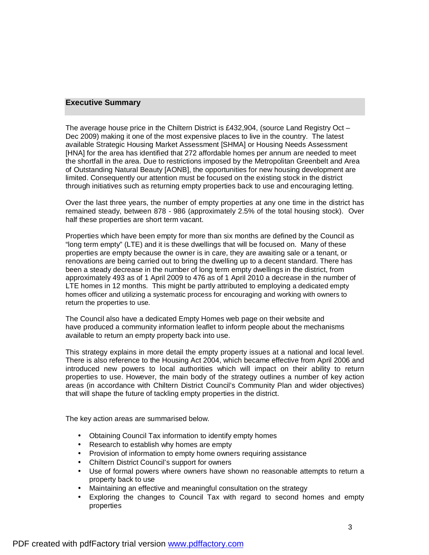#### **Executive Summary**

The average house price in the Chiltern District is £432,904, (source Land Registry Oct  $-$ Dec 2009) making it one of the most expensive places to live in the country. The latest available Strategic Housing Market Assessment [SHMA] or Housing Needs Assessment [HNA] for the area has identified that 272 affordable homes per annum are needed to meet the shortfall in the area. Due to restrictions imposed by the Metropolitan Greenbelt and Area of Outstanding Natural Beauty [AONB], the opportunities for new housing development are limited. Consequently our attention must be focused on the existing stock in the district through initiatives such as returning empty properties back to use and encouraging letting.

Over the last three years, the number of empty properties at any one time in the district has remained steady, between 878 - 986 (approximately 2.5% of the total housing stock). Over half these properties are short term vacant.

Properties which have been empty for more than six months are defined by the Council as "long term empty" (LTE) and it is these dwellings that will be focused on. Many of these properties are empty because the owner is in care, they are awaiting sale or a tenant, or renovations are being carried out to bring the dwelling up to a decent standard. There has been a steady decrease in the number of long term empty dwellings in the district, from approximately 493 as of 1 April 2009 to 476 as of 1 April 2010 a decrease in the number of LTE homes in 12 months. This might be partly attributed to employing a dedicated empty homes officer and utilizing a systematic process for encouraging and working with owners to return the properties to use.

The Council also have a dedicated Empty Homes web page on their website and have produced a community information leaflet to inform people about the mechanisms available to return an empty property back into use.

This strategy explains in more detail the empty property issues at a national and local level. There is also reference to the Housing Act 2004, which became effective from April 2006 and introduced new powers to local authorities which will impact on their ability to return properties to use. However, the main body of the strategy outlines a number of key action areas (in accordance with Chiltern District Council's Community Plan and wider objectives) that will shape the future of tackling empty properties in the district.

The key action areas are summarised below.

- Obtaining Council Tax information to identify empty homes
- Research to establish why homes are empty
- Provision of information to empty home owners requiring assistance
- Chiltern District Council's support for owners
- Use of formal powers where owners have shown no reasonable attempts to return a property back to use
- Maintaining an effective and meaningful consultation on the strategy
- Exploring the changes to Council Tax with regard to second homes and empty properties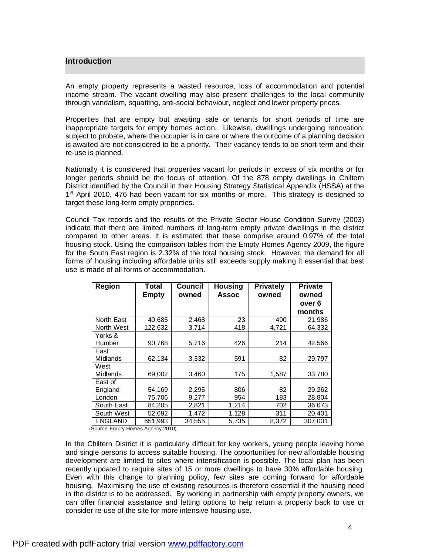#### **Introduction**

An empty property represents a wasted resource, loss of accommodation and potential income stream. The vacant dwelling may also present challenges to the local community through vandalism, squatting, anti-social behaviour, neglect and lower property prices.

Properties that are empty but awaiting sale or tenants for short periods of time are inappropriate targets for empty homes action. Likewise, dwellings undergoing renovation, subject to probate, where the occupier is in care or where the outcome of a planning decision is awaited are not considered to be a priority. Their vacancy tends to be short-term and their re-use is planned.

Nationally it is considered that properties vacant for periods in excess of six months or for longer periods should be the focus of attention. Of the 878 empty dwellings in Chiltern District identified by the Council in their Housing Strategy Statistical Appendix (HSSA) at the 1<sup>st</sup> April 2010, 476 had been vacant for six months or more. This strategy is designed to target these long-term empty properties.

Council Tax records and the results of the Private Sector House Condition Survey (2003) indicate that there are limited numbers of long-term empty private dwellings in the district compared to other areas. It is estimated that these comprise around 0.97% of the total housing stock. Using the comparison tables from the Empty Homes Agency 2009, the figure for the South East region is 2.32% of the total housing stock. However, the demand for all forms of housing including affordable units still exceeds supply making it essential that best use is made of all forms of accommodation.

| <b>Region</b>  | <b>Total</b><br><b>Empty</b> | Council<br>owned | <b>Housing</b><br><b>Assoc</b> | <b>Privately</b><br>owned | <b>Private</b><br>owned<br>over 6 |
|----------------|------------------------------|------------------|--------------------------------|---------------------------|-----------------------------------|
|                |                              |                  |                                |                           | months                            |
| North East     | 40,685                       | 2,468            | 23                             | 490                       | 21,986                            |
| North West     | 122,632                      | 3,714            | 418                            | 4,721                     | 64,332                            |
| Yorks &        |                              |                  |                                |                           |                                   |
| Humber         | 90,768                       | 5,716            | 426                            | 214                       | 42,566                            |
| East           |                              |                  |                                |                           |                                   |
| Midlands       | 62,134                       | 3,332            | 591                            | 82                        | 29,797                            |
| West           |                              |                  |                                |                           |                                   |
| Midlands       | 69,002                       | 3,460            | 175                            | 1,587                     | 33,780                            |
| East of        |                              |                  |                                |                           |                                   |
| England        | 54,169                       | 2,295            | 806                            | 82                        | 29,262                            |
| London         | 75,706                       | 9,277            | 954                            | 183                       | 28,804                            |
| South East     | 84,205                       | 2,821            | 1,214                          | 702                       | 36,073                            |
| South West     | 52,692                       | 1,472            | 1,128                          | 311                       | 20,401                            |
| <b>ENGLAND</b> | 651,993                      | 34.555           | 5,735                          | 8,372                     | 307.001                           |

(Source Empty Homes Agency 2010)

In the Chiltern District it is particularly difficult for key workers, young people leaving home and single persons to access suitable housing. The opportunities for new affordable housing development are limited to sites where intensification is possible. The local plan has been recently updated to require sites of 15 or more dwellings to have 30% affordable housing. Even with this change to planning policy, few sites are coming forward for affordable housing. Maximising the use of existing resources is therefore essential if the housing need in the district is to be addressed. By working in partnership with empty property owners, we can offer financial assistance and letting options to help return a property back to use or consider re-use of the site for more intensive housing use.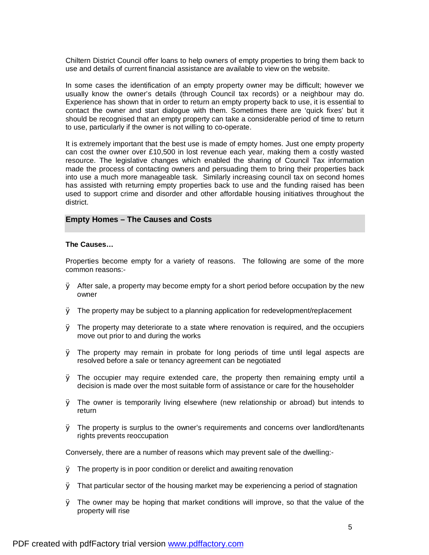Chiltern District Council offer loans to help owners of empty properties to bring them back to use and details of current financial assistance are available to view on the website.

In some cases the identification of an empty property owner may be difficult; however we usually know the owner's details (through Council tax records) or a neighbour may do. Experience has shown that in order to return an empty property back to use, it is essential to contact the owner and start dialogue with them. Sometimes there are 'quick fixes' but it should be recognised that an empty property can take a considerable period of time to return to use, particularly if the owner is not willing to co-operate.

It is extremely important that the best use is made of empty homes. Just one empty property can cost the owner over £10,500 in lost revenue each year, making them a costly wasted resource. The legislative changes which enabled the sharing of Council Tax information made the process of contacting owners and persuading them to bring their properties back into use a much more manageable task. Similarly increasing council tax on second homes has assisted with returning empty properties back to use and the funding raised has been used to support crime and disorder and other affordable housing initiatives throughout the district.

#### **Empty Homes – The Causes and Costs**

#### **The Causes…**

Properties become empty for a variety of reasons. The following are some of the more common reasons:-

- $\emptyset$  After sale, a property may become empty for a short period before occupation by the new owner
- $\emptyset$  The property may be subject to a planning application for redevelopment/replacement
- $\emptyset$  The property may deteriorate to a state where renovation is required, and the occupiers move out prior to and during the works
- Ø The property may remain in probate for long periods of time until legal aspects are resolved before a sale or tenancy agreement can be negotiated
- $\emptyset$  The occupier may require extended care, the property then remaining empty until a decision is made over the most suitable form of assistance or care for the householder
- Ø The owner is temporarily living elsewhere (new relationship or abroad) but intends to return
- $\emptyset$  The property is surplus to the owner's requirements and concerns over landlord/tenants rights prevents reoccupation

Conversely, there are a number of reasons which may prevent sale of the dwelling:-

- Ø The property is in poor condition or derelict and awaiting renovation
- Ø That particular sector of the housing market may be experiencing a period of stagnation
- Ø The owner may be hoping that market conditions will improve, so that the value of the property will rise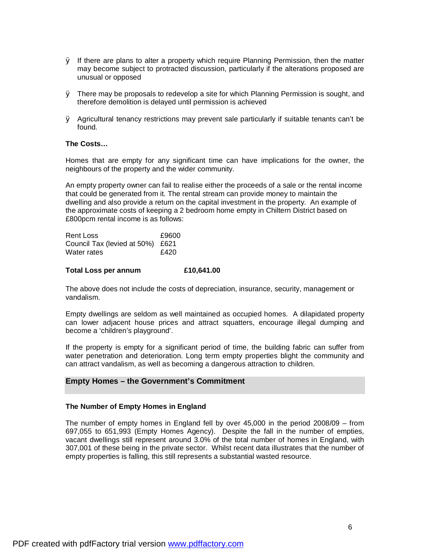- $\varnothing$  If there are plans to alter a property which require Planning Permission, then the matter may become subject to protracted discussion, particularly if the alterations proposed are unusual or opposed
- $\emptyset$  There may be proposals to redevelop a site for which Planning Permission is sought, and therefore demolition is delayed until permission is achieved
- Ø Agricultural tenancy restrictions may prevent sale particularly if suitable tenants can't be found.

#### **The Costs…**

Homes that are empty for any significant time can have implications for the owner, the neighbours of the property and the wider community.

An empty property owner can fail to realise either the proceeds of a sale or the rental income that could be generated from it. The rental stream can provide money to maintain the dwelling and also provide a return on the capital investment in the property. An example of the approximate costs of keeping a 2 bedroom home empty in Chiltern District based on £800pcm rental income is as follows:

| Rent Loss                        | £9600 |
|----------------------------------|-------|
| Council Tax (levied at 50%) £621 |       |
| Water rates                      | £420  |

#### **Total Loss per annum £10,641.00**

The above does not include the costs of depreciation, insurance, security, management or vandalism.

Empty dwellings are seldom as well maintained as occupied homes. A dilapidated property can lower adjacent house prices and attract squatters, encourage illegal dumping and become a 'children's playground'.

If the property is empty for a significant period of time, the building fabric can suffer from water penetration and deterioration. Long term empty properties blight the community and can attract vandalism, as well as becoming a dangerous attraction to children.

#### **Empty Homes – the Government's Commitment**

#### **The Number of Empty Homes in England**

The number of empty homes in England fell by over 45,000 in the period 2008/09 – from 697,055 to 651,993 (Empty Homes Agency). Despite the fall in the number of empties, vacant dwellings still represent around 3.0% of the total number of homes in England, with 307,001 of these being in the private sector. Whilst recent data illustrates that the number of empty properties is falling, this still represents a substantial wasted resource.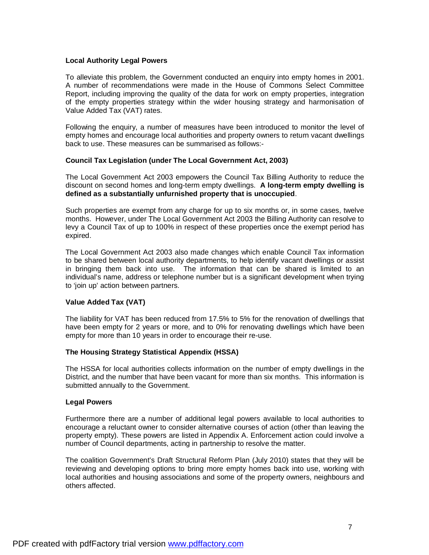#### **Local Authority Legal Powers**

To alleviate this problem, the Government conducted an enquiry into empty homes in 2001. A number of recommendations were made in the House of Commons Select Committee Report, including improving the quality of the data for work on empty properties, integration of the empty properties strategy within the wider housing strategy and harmonisation of Value Added Tax (VAT) rates.

Following the enquiry, a number of measures have been introduced to monitor the level of empty homes and encourage local authorities and property owners to return vacant dwellings back to use. These measures can be summarised as follows:-

#### **Council Tax Legislation (under The Local Government Act, 2003)**

The Local Government Act 2003 empowers the Council Tax Billing Authority to reduce the discount on second homes and long-term empty dwellings. **A long-term empty dwelling is defined as a substantially unfurnished property that is unoccupied**.

Such properties are exempt from any charge for up to six months or, in some cases, twelve months. However, under The Local Government Act 2003 the Billing Authority can resolve to levy a Council Tax of up to 100% in respect of these properties once the exempt period has expired.

The Local Government Act 2003 also made changes which enable Council Tax information to be shared between local authority departments, to help identify vacant dwellings or assist in bringing them back into use. The information that can be shared is limited to an individual's name, address or telephone number but is a significant development when trying to 'join up' action between partners.

#### **Value Added Tax (VAT)**

The liability for VAT has been reduced from 17.5% to 5% for the renovation of dwellings that have been empty for 2 years or more, and to 0% for renovating dwellings which have been empty for more than 10 years in order to encourage their re-use.

#### **The Housing Strategy Statistical Appendix (HSSA)**

The HSSA for local authorities collects information on the number of empty dwellings in the District, and the number that have been vacant for more than six months. This information is submitted annually to the Government.

#### **Legal Powers**

Furthermore there are a number of additional legal powers available to local authorities to encourage a reluctant owner to consider alternative courses of action (other than leaving the property empty). These powers are listed in Appendix A. Enforcement action could involve a number of Council departments, acting in partnership to resolve the matter.

The coalition Government's Draft Structural Reform Plan (July 2010) states that they will be reviewing and developing options to bring more empty homes back into use, working with local authorities and housing associations and some of the property owners, neighbours and others affected.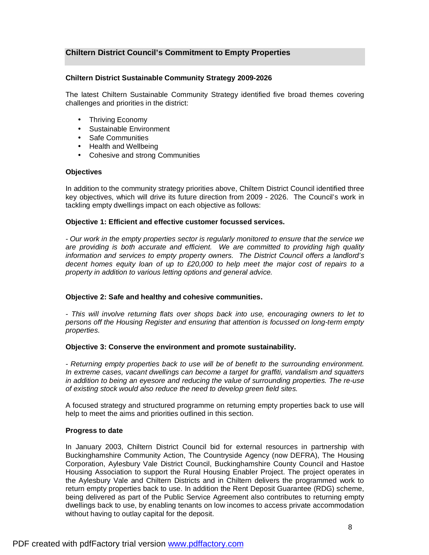#### **Chiltern District Council's Commitment to Empty Properties**

#### **Chiltern District Sustainable Community Strategy 2009-2026**

The latest Chiltern Sustainable Community Strategy identified five broad themes covering challenges and priorities in the district:

- Thriving Economy
- Sustainable Environment
- Safe Communities
- Health and Wellbeing
- Cohesive and strong Communities

#### **Objectives**

In addition to the community strategy priorities above, Chiltern District Council identified three key objectives, which will drive its future direction from 2009 - 2026. The Council's work in tackling empty dwellings impact on each objective as follows:

#### **Objective 1: Efficient and effective customer focussed services.**

*- Our work in the empty properties sector is regularly monitored to ensure that the service we are providing is both accurate and efficient. We are committed to providing high quality information and services to empty property owners. The District Council offers a landlord's decent homes equity loan of up to £20,000 to help meet the major cost of repairs to a property in addition to various letting options and general advice.* 

#### **Objective 2: Safe and healthy and cohesive communities.**

*- This will involve returning flats over shops back into use, encouraging owners to let to persons off the Housing Register and ensuring that attention is focussed on long-term empty properties.* 

#### **Objective 3: Conserve the environment and promote sustainability.**

*- Returning empty properties back to use will be of benefit to the surrounding environment. In extreme cases, vacant dwellings can become a target for graffiti, vandalism and squatters in addition to being an eyesore and reducing the value of surrounding properties. The re-use of existing stock would also reduce the need to develop green field sites.* 

A focused strategy and structured programme on returning empty properties back to use will help to meet the aims and priorities outlined in this section.

#### **Progress to date**

In January 2003, Chiltern District Council bid for external resources in partnership with Buckinghamshire Community Action, The Countryside Agency (now DEFRA), The Housing Corporation, Aylesbury Vale District Council, Buckinghamshire County Council and Hastoe Housing Association to support the Rural Housing Enabler Project. The project operates in the Aylesbury Vale and Chiltern Districts and in Chiltern delivers the programmed work to return empty properties back to use. In addition the Rent Deposit Guarantee (RDG) scheme, being delivered as part of the Public Service Agreement also contributes to returning empty dwellings back to use, by enabling tenants on low incomes to access private accommodation without having to outlay capital for the deposit.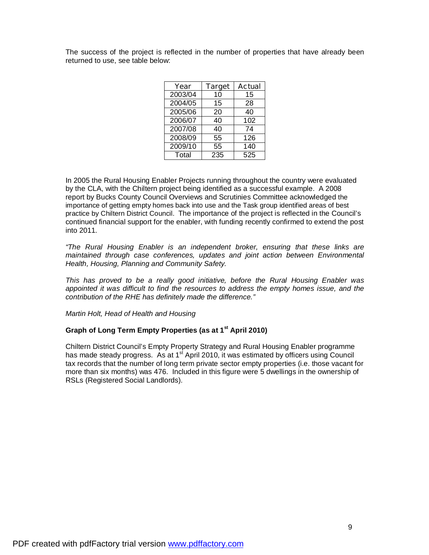The success of the project is reflected in the number of properties that have already been returned to use, see table below:

| Year    | <b>Target</b> | <b>Actual</b> |
|---------|---------------|---------------|
| 2003/04 | 10            | 15            |
| 2004/05 | 15            | 28            |
| 2005/06 | 20            | 40            |
| 2006/07 | 40            | 102           |
| 2007/08 | 40            | 74            |
| 2008/09 | 55            | 126           |
| 2009/10 | 55            | 140           |
| Total   | 235           | 525           |

In 2005 the Rural Housing Enabler Projects running throughout the country were evaluated by the CLA, with the Chiltern project being identified as a successful example. A 2008 report by Bucks County Council Overviews and Scrutinies Committee acknowledged the importance of getting empty homes back into use and the Task group identified areas of best practice by Chiltern District Council. The importance of the project is reflected in the Council's continued financial support for the enabler, with funding recently confirmed to extend the post into 2011.

*"The Rural Housing Enabler is an independent broker, ensuring that these links are maintained through case conferences, updates and joint action between Environmental Health, Housing, Planning and Community Safety.* 

*This has proved to be a really good initiative, before the Rural Housing Enabler was appointed it was difficult to find the resources to address the empty homes issue, and the contribution of the RHE has definitely made the difference."* 

*Martin Holt, Head of Health and Housing* 

#### **Graph of Long Term Empty Properties (as at 1st April 2010)**

Chiltern District Council's Empty Property Strategy and Rural Housing Enabler programme has made steady progress. As at  $1<sup>st</sup>$  April 2010, it was estimated by officers using Council tax records that the number of long term private sector empty properties (i.e. those vacant for more than six months) was 476. Included in this figure were 5 dwellings in the ownership of RSLs (Registered Social Landlords).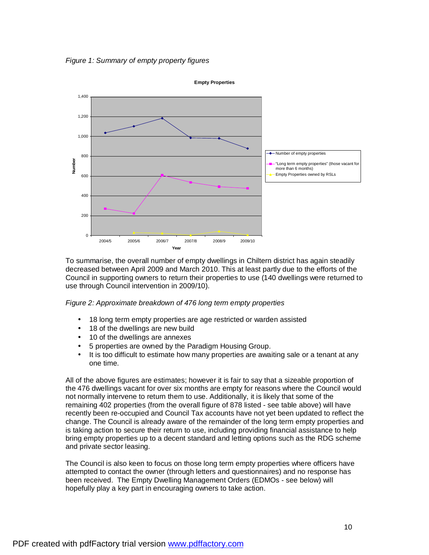*Figure 1: Summary of empty property figures* 



To summarise, the overall number of empty dwellings in Chiltern district has again steadily decreased between April 2009 and March 2010. This at least partly due to the efforts of the Council in supporting owners to return their properties to use (140 dwellings were returned to use through Council intervention in 2009/10).

*Figure 2: Approximate breakdown of 476 long term empty properties* 

- 18 long term empty properties are age restricted or warden assisted
- 18 of the dwellings are new build
- 10 of the dwellings are annexes
- 5 properties are owned by the Paradigm Housing Group.
- It is too difficult to estimate how many properties are awaiting sale or a tenant at any one time.

All of the above figures are estimates; however it is fair to say that a sizeable proportion of the 476 dwellings vacant for over six months are empty for reasons where the Council would not normally intervene to return them to use. Additionally, it is likely that some of the remaining 402 properties (from the overall figure of 878 listed - see table above) will have recently been re-occupied and Council Tax accounts have not yet been updated to reflect the change. The Council is already aware of the remainder of the long term empty properties and is taking action to secure their return to use, including providing financial assistance to help bring empty properties up to a decent standard and letting options such as the RDG scheme and private sector leasing.

The Council is also keen to focus on those long term empty properties where officers have attempted to contact the owner (through letters and questionnaires) and no response has been received. The Empty Dwelling Management Orders (EDMOs - see below) will hopefully play a key part in encouraging owners to take action.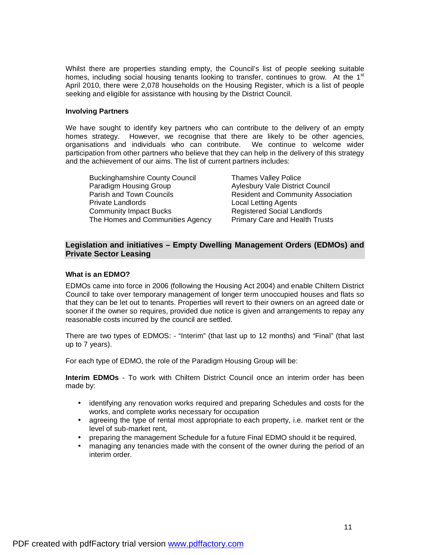Whilst there are properties standing empty, the Council's list of people seeking suitable homes, including social housing tenants looking to transfer, continues to grow. At the 1<sup>st</sup> April 2010, there were 2,078 households on the Housing Register, which is a list of people seeking and eligible for assistance with housing by the District Council.

#### **Involving Partners**

We have sought to identify key partners who can contribute to the delivery of an empty homes strategy. However, we recognise that there are likely to be other agencies, organisations and individuals who can contribute. We continue to welcome wider participation from other partners who believe that they can help in the delivery of this strategy and the achievement of our aims. The list of current partners includes:

| <b>Buckinghamshire County Council</b>                                 | <b>Thames Valley Police</b>            |
|-----------------------------------------------------------------------|----------------------------------------|
| Paradigm Housing Group                                                | <b>Aylesbury Vale District Council</b> |
| Parish and Town Councils<br><b>Resident and Community Association</b> |                                        |
| <b>Private Landlords</b>                                              | <b>Local Letting Agents</b>            |
| <b>Community Impact Bucks</b>                                         | <b>Registered Social Landlords</b>     |
| The Homes and Communities Agency                                      | <b>Primary Care and Health Trusts</b>  |

#### **Legislation and initiatives – Empty Dwelling Management Orders (EDMOs) and Private Sector Leasing**

#### **What is an EDMO?**

EDMOs came into force in 2006 (following the Housing Act 2004) and enable Chiltern District Council to take over temporary management of longer term unoccupied houses and flats so that they can be let out to tenants. Properties will revert to their owners on an agreed date or sooner if the owner so requires, provided due notice is given and arrangements to repay any reasonable costs incurred by the council are settled.

There are two types of EDMOS: - "Interim" (that last up to 12 months) and "Final" (that last up to 7 years).

For each type of EDMO, the role of the Paradigm Housing Group will be:

**Interim EDMOs** - To work with Chiltern District Council once an interim order has been made by:

- identifying any renovation works required and preparing Schedules and costs for the works, and complete works necessary for occupation
- agreeing the type of rental most appropriate to each property, i.e. market rent or the level of sub-market rent,
- preparing the management Schedule for a future Final EDMO should it be required,
- managing any tenancies made with the consent of the owner during the period of an interim order.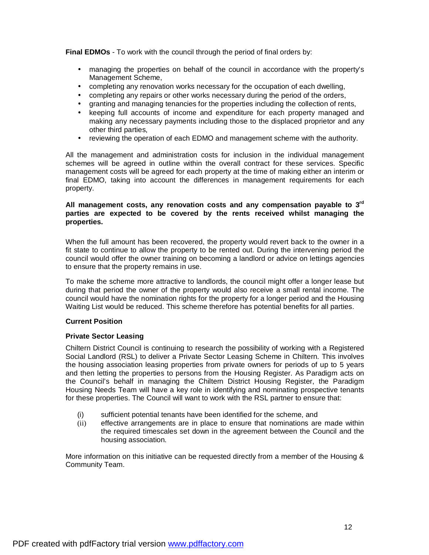**Final EDMOs** - To work with the council through the period of final orders by:

- managing the properties on behalf of the council in accordance with the property's Management Scheme,
- completing any renovation works necessary for the occupation of each dwelling,
- completing any repairs or other works necessary during the period of the orders,
- granting and managing tenancies for the properties including the collection of rents,
- keeping full accounts of income and expenditure for each property managed and making any necessary payments including those to the displaced proprietor and any other third parties,
- reviewing the operation of each EDMO and management scheme with the authority.

All the management and administration costs for inclusion in the individual management schemes will be agreed in outline within the overall contract for these services. Specific management costs will be agreed for each property at the time of making either an interim or final EDMO, taking into account the differences in management requirements for each property.

#### **All management costs, any renovation costs and any compensation payable to 3rd parties are expected to be covered by the rents received whilst managing the properties.**

When the full amount has been recovered, the property would revert back to the owner in a fit state to continue to allow the property to be rented out. During the intervening period the council would offer the owner training on becoming a landlord or advice on lettings agencies to ensure that the property remains in use.

To make the scheme more attractive to landlords, the council might offer a longer lease but during that period the owner of the property would also receive a small rental income. The council would have the nomination rights for the property for a longer period and the Housing Waiting List would be reduced. This scheme therefore has potential benefits for all parties.

#### **Current Position**

#### **Private Sector Leasing**

Chiltern District Council is continuing to research the possibility of working with a Registered Social Landlord (RSL) to deliver a Private Sector Leasing Scheme in Chiltern. This involves the housing association leasing properties from private owners for periods of up to 5 years and then letting the properties to persons from the Housing Register. As Paradigm acts on the Council's behalf in managing the Chiltern District Housing Register, the Paradigm Housing Needs Team will have a key role in identifying and nominating prospective tenants for these properties. The Council will want to work with the RSL partner to ensure that:

- (i) sufficient potential tenants have been identified for the scheme, and
- (ii) effective arrangements are in place to ensure that nominations are made within the required timescales set down in the agreement between the Council and the housing association.

More information on this initiative can be requested directly from a member of the Housing & Community Team.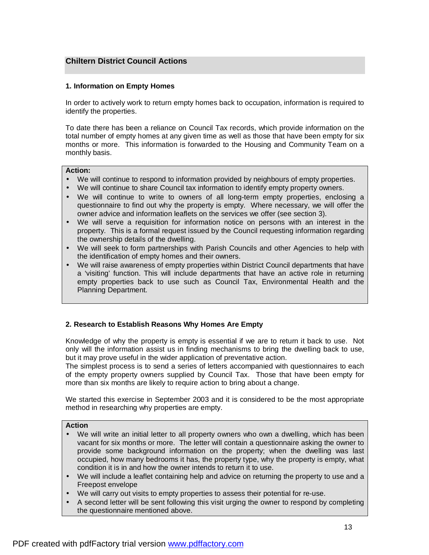### **Chiltern District Council Actions**

#### **1. Information on Empty Homes**

In order to actively work to return empty homes back to occupation, information is required to identify the properties.

To date there has been a reliance on Council Tax records, which provide information on the total number of empty homes at any given time as well as those that have been empty for six months or more. This information is forwarded to the Housing and Community Team on a monthly basis.

#### **Action:**

- We will continue to respond to information provided by neighbours of empty properties.
- We will continue to share Council tax information to identify empty property owners.
- We will continue to write to owners of all long-term empty properties, enclosing a questionnaire to find out why the property is empty. Where necessary, we will offer the owner advice and information leaflets on the services we offer (see section 3).
- We will serve a requisition for information notice on persons with an interest in the property. This is a formal request issued by the Council requesting information regarding the ownership details of the dwelling.
- We will seek to form partnerships with Parish Councils and other Agencies to help with the identification of empty homes and their owners.
- We will raise awareness of empty properties within District Council departments that have a 'visiting' function. This will include departments that have an active role in returning empty properties back to use such as Council Tax, Environmental Health and the Planning Department.

#### **2. Research to Establish Reasons Why Homes Are Empty**

Knowledge of why the property is empty is essential if we are to return it back to use. Not only will the information assist us in finding mechanisms to bring the dwelling back to use, but it may prove useful in the wider application of preventative action.

The simplest process is to send a series of letters accompanied with questionnaires to each of the empty property owners supplied by Council Tax. Those that have been empty for more than six months are likely to require action to bring about a change.

We started this exercise in September 2003 and it is considered to be the most appropriate method in researching why properties are empty.

#### **Action**

- We will write an initial letter to all property owners who own a dwelling, which has been vacant for six months or more. The letter will contain a questionnaire asking the owner to provide some background information on the property; when the dwelling was last occupied, how many bedrooms it has, the property type, why the property is empty, what condition it is in and how the owner intends to return it to use.
- We will include a leaflet containing help and advice on returning the property to use and a Freepost envelope
- We will carry out visits to empty properties to assess their potential for re-use.
- A second letter will be sent following this visit urging the owner to respond by completing the questionnaire mentioned above.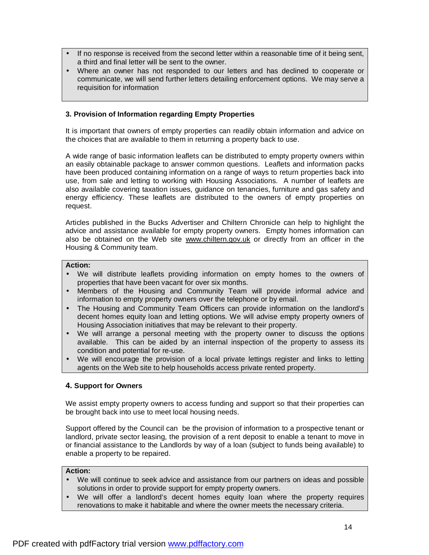- If no response is received from the second letter within a reasonable time of it being sent, a third and final letter will be sent to the owner.
- Where an owner has not responded to our letters and has declined to cooperate or communicate, we will send further letters detailing enforcement options. We may serve a requisition for information

#### **3. Provision of Information regarding Empty Properties**

It is important that owners of empty properties can readily obtain information and advice on the choices that are available to them in returning a property back to use.

A wide range of basic information leaflets can be distributed to empty property owners within an easily obtainable package to answer common questions. Leaflets and information packs have been produced containing information on a range of ways to return properties back into use, from sale and letting to working with Housing Associations. A number of leaflets are also available covering taxation issues, guidance on tenancies, furniture and gas safety and energy efficiency. These leaflets are distributed to the owners of empty properties on request.

Articles published in the Bucks Advertiser and Chiltern Chronicle can help to highlight the advice and assistance available for empty property owners. Empty homes information can also be obtained on the Web site [www.chiltern.gov.uk](http://www.chiltern.gov.uk) or directly from an officer in the Housing & Community team.

#### **Action:**

- We will distribute leaflets providing information on empty homes to the owners of properties that have been vacant for over six months.
- Members of the Housing and Community Team will provide informal advice and information to empty property owners over the telephone or by email.
- The Housing and Community Team Officers can provide information on the landlord's decent homes equity loan and letting options. We will advise empty property owners of Housing Association initiatives that may be relevant to their property.
- We will arrange a personal meeting with the property owner to discuss the options available. This can be aided by an internal inspection of the property to assess its condition and potential for re-use.
- We will encourage the provision of a local private lettings register and links to letting agents on the Web site to help households access private rented property.

#### **4. Support for Owners**

We assist empty property owners to access funding and support so that their properties can be brought back into use to meet local housing needs.

Support offered by the Council can be the provision of information to a prospective tenant or landlord, private sector leasing, the provision of a rent deposit to enable a tenant to move in or financial assistance to the Landlords by way of a loan (subject to funds being available) to enable a property to be repaired.

#### **Action:**

- We will continue to seek advice and assistance from our partners on ideas and possible solutions in order to provide support for empty property owners.
- We will offer a landlord's decent homes equity loan where the property requires renovations to make it habitable and where the owner meets the necessary criteria.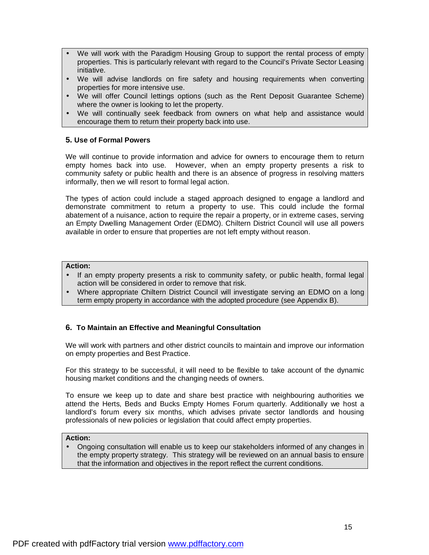- We will work with the Paradigm Housing Group to support the rental process of empty properties. This is particularly relevant with regard to the Council's Private Sector Leasing initiative.
- We will advise landlords on fire safety and housing requirements when converting properties for more intensive use.
- We will offer Council lettings options (such as the Rent Deposit Guarantee Scheme) where the owner is looking to let the property.
- We will continually seek feedback from owners on what help and assistance would encourage them to return their property back into use.

#### **5. Use of Formal Powers**

We will continue to provide information and advice for owners to encourage them to return empty homes back into use. However, when an empty property presents a risk to community safety or public health and there is an absence of progress in resolving matters informally, then we will resort to formal legal action.

The types of action could include a staged approach designed to engage a landlord and demonstrate commitment to return a property to use. This could include the formal abatement of a nuisance, action to require the repair a property, or in extreme cases, serving an Empty Dwelling Management Order (EDMO). Chiltern District Council will use all powers available in order to ensure that properties are not left empty without reason.

#### **Action:**

- If an empty property presents a risk to community safety, or public health, formal legal action will be considered in order to remove that risk.
- Where appropriate Chiltern District Council will investigate serving an EDMO on a long term empty property in accordance with the adopted procedure (see Appendix B).

#### **6. To Maintain an Effective and Meaningful Consultation**

We will work with partners and other district councils to maintain and improve our information on empty properties and Best Practice.

For this strategy to be successful, it will need to be flexible to take account of the dynamic housing market conditions and the changing needs of owners.

To ensure we keep up to date and share best practice with neighbouring authorities we attend the Herts, Beds and Bucks Empty Homes Forum quarterly. Additionally we host a landlord's forum every six months, which advises private sector landlords and housing professionals of new policies or legislation that could affect empty properties.

#### **Action:**

• Ongoing consultation will enable us to keep our stakeholders informed of any changes in the empty property strategy. This strategy will be reviewed on an annual basis to ensure that the information and objectives in the report reflect the current conditions.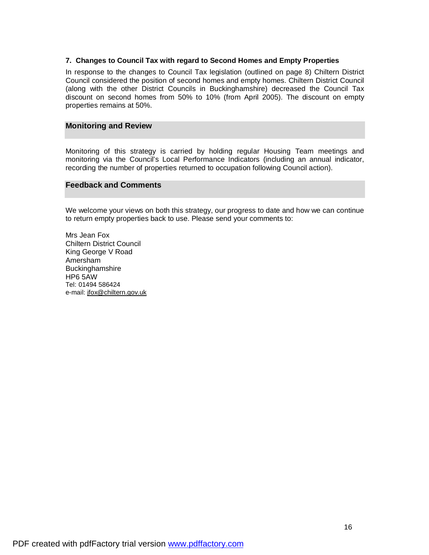#### **7. Changes to Council Tax with regard to Second Homes and Empty Properties**

In response to the changes to Council Tax legislation (outlined on page 8) Chiltern District Council considered the position of second homes and empty homes. Chiltern District Council (along with the other District Councils in Buckinghamshire) decreased the Council Tax discount on second homes from 50% to 10% (from April 2005). The discount on empty properties remains at 50%.

#### **Monitoring and Review**

Monitoring of this strategy is carried by holding regular Housing Team meetings and monitoring via the Council's Local Performance Indicators (including an annual indicator, recording the number of properties returned to occupation following Council action).

#### **Feedback and Comments**

We welcome your views on both this strategy, our progress to date and how we can continue to return empty properties back to use. Please send your comments to:

Mrs Jean Fox Chiltern District Council King George V Road Amersham Buckinghamshire HP6 5AW Tel: 01494 586424 e-mail: [jfox@chiltern.gov.uk](mailto:jfox@chiltern.gov.uk)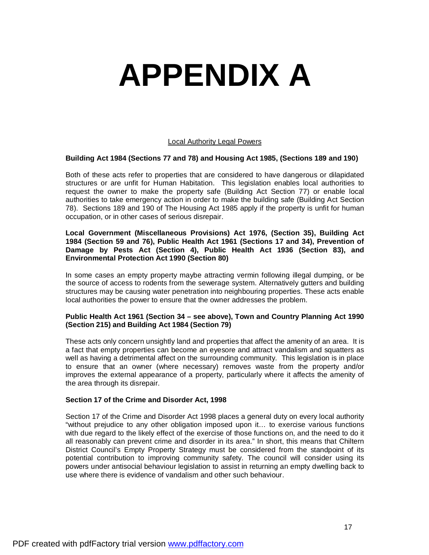# **APPENDIX A**

#### Local Authority Legal Powers

#### **Building Act 1984 (Sections 77 and 78) and Housing Act 1985, (Sections 189 and 190)**

Both of these acts refer to properties that are considered to have dangerous or dilapidated structures or are unfit for Human Habitation. This legislation enables local authorities to request the owner to make the property safe (Building Act Section 77) or enable local authorities to take emergency action in order to make the building safe (Building Act Section 78). Sections 189 and 190 of The Housing Act 1985 apply if the property is unfit for human occupation, or in other cases of serious disrepair.

#### **Local Government (Miscellaneous Provisions) Act 1976, (Section 35), Building Act 1984 (Section 59 and 76), Public Health Act 1961 (Sections 17 and 34), Prevention of Damage by Pests Act (Section 4), Public Health Act 1936 (Section 83), and Environmental Protection Act 1990 (Section 80)**

In some cases an empty property maybe attracting vermin following illegal dumping, or be the source of access to rodents from the sewerage system. Alternatively gutters and building structures may be causing water penetration into neighbouring properties. These acts enable local authorities the power to ensure that the owner addresses the problem.

#### **Public Health Act 1961 (Section 34 – see above), Town and Country Planning Act 1990 (Section 215) and Building Act 1984 (Section 79)**

These acts only concern unsightly land and properties that affect the amenity of an area. It is a fact that empty properties can become an eyesore and attract vandalism and squatters as well as having a detrimental affect on the surrounding community. This legislation is in place to ensure that an owner (where necessary) removes waste from the property and/or improves the external appearance of a property, particularly where it affects the amenity of the area through its disrepair.

#### **Section 17 of the Crime and Disorder Act, 1998**

Section 17 of the Crime and Disorder Act 1998 places a general duty on every local authority "without prejudice to any other obligation imposed upon it… to exercise various functions with due regard to the likely effect of the exercise of those functions on, and the need to do it all reasonably can prevent crime and disorder in its area." In short, this means that Chiltern District Council's Empty Property Strategy must be considered from the standpoint of its potential contribution to improving community safety. The council will consider using its powers under antisocial behaviour legislation to assist in returning an empty dwelling back to use where there is evidence of vandalism and other such behaviour.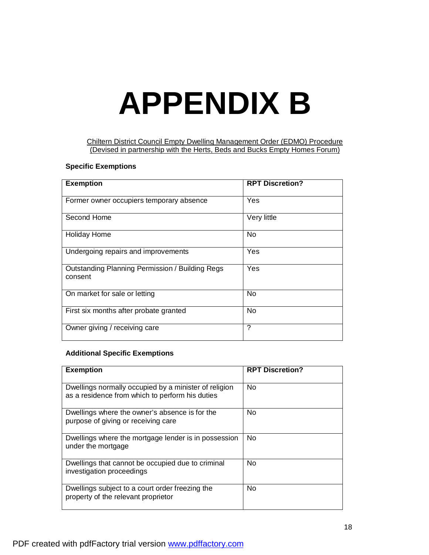## **APPENDIX B**

Chiltern District Council Empty Dwelling Management Order (EDMO) Procedure (Devised in partnership with the Herts, Beds and Bucks Empty Homes Forum)

#### **Specific Exemptions**

| <b>Exemption</b>                                                  | <b>RPT Discretion?</b> |
|-------------------------------------------------------------------|------------------------|
| Former owner occupiers temporary absence                          | Yes                    |
| Second Home                                                       | Very little            |
| <b>Holiday Home</b>                                               | No                     |
| Undergoing repairs and improvements                               | Yes                    |
| <b>Outstanding Planning Permission / Building Regs</b><br>consent | Yes                    |
| On market for sale or letting                                     | No                     |
| First six months after probate granted                            | No                     |
| Owner giving / receiving care                                     | ?                      |

#### **Additional Specific Exemptions**

| <b>Exemption</b>                                                                                         | <b>RPT Discretion?</b> |
|----------------------------------------------------------------------------------------------------------|------------------------|
| Dwellings normally occupied by a minister of religion<br>as a residence from which to perform his duties | <b>No</b>              |
| Dwellings where the owner's absence is for the<br>purpose of giving or receiving care                    | N <sub>0</sub>         |
| Dwellings where the mortgage lender is in possession<br>under the mortgage                               | <b>No</b>              |
| Dwellings that cannot be occupied due to criminal<br>investigation proceedings                           | <b>No</b>              |
| Dwellings subject to a court order freezing the<br>property of the relevant proprietor                   | <b>No</b>              |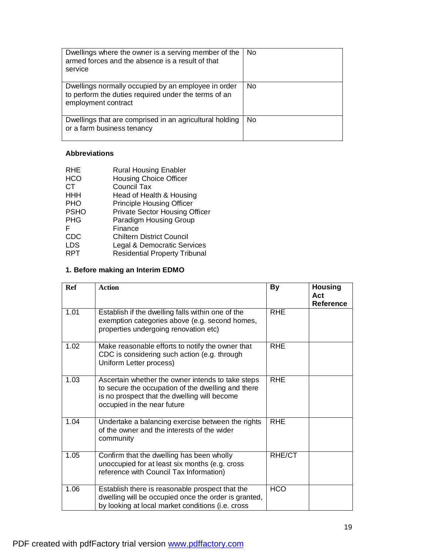| Dwellings where the owner is a serving member of the<br>armed forces and the absence is a result of that<br>service                | N <sub>0</sub> |
|------------------------------------------------------------------------------------------------------------------------------------|----------------|
| Dwellings normally occupied by an employee in order<br>to perform the duties required under the terms of an<br>employment contract | N <sub>0</sub> |
| Dwellings that are comprised in an agricultural holding<br>or a farm business tenancy                                              | No             |

#### **Abbreviations**

| RHE         | <b>Rural Housing Enabler</b>          |
|-------------|---------------------------------------|
| <b>HCO</b>  | <b>Housing Choice Officer</b>         |
| CТ          | <b>Council Tax</b>                    |
| <b>HHH</b>  | Head of Health & Housing              |
| <b>PHO</b>  | <b>Principle Housing Officer</b>      |
| <b>PSHO</b> | <b>Private Sector Housing Officer</b> |
| <b>PHG</b>  | <b>Paradigm Housing Group</b>         |
| F           | Finance                               |
| <b>CDC</b>  | <b>Chiltern District Council</b>      |
| <b>LDS</b>  | Legal & Democratic Services           |
| RPT         | <b>Residential Property Tribunal</b>  |

## **1. Before making an Interim EDMO**

| Ref  | <b>Action</b>                                                                                                                                                                          | <b>By</b>  | <b>Housing</b><br>Act<br>Reference |
|------|----------------------------------------------------------------------------------------------------------------------------------------------------------------------------------------|------------|------------------------------------|
| 1.01 | Establish if the dwelling falls within one of the<br>exemption categories above (e.g. second homes,<br>properties undergoing renovation etc)                                           | <b>RHE</b> |                                    |
| 1.02 | Make reasonable efforts to notify the owner that<br>CDC is considering such action (e.g. through<br>Uniform Letter process)                                                            | <b>RHE</b> |                                    |
| 1.03 | Ascertain whether the owner intends to take steps<br>to secure the occupation of the dwelling and there<br>is no prospect that the dwelling will become<br>occupied in the near future | <b>RHE</b> |                                    |
| 1.04 | Undertake a balancing exercise between the rights<br>of the owner and the interests of the wider<br>community                                                                          | <b>RHE</b> |                                    |
| 1.05 | Confirm that the dwelling has been wholly<br>unoccupied for at least six months (e.g. cross<br>reference with Council Tax Information)                                                 | RHE/CT     |                                    |
| 1.06 | Establish there is reasonable prospect that the<br>dwelling will be occupied once the order is granted,<br>by looking at local market conditions (i.e. cross                           | <b>HCO</b> |                                    |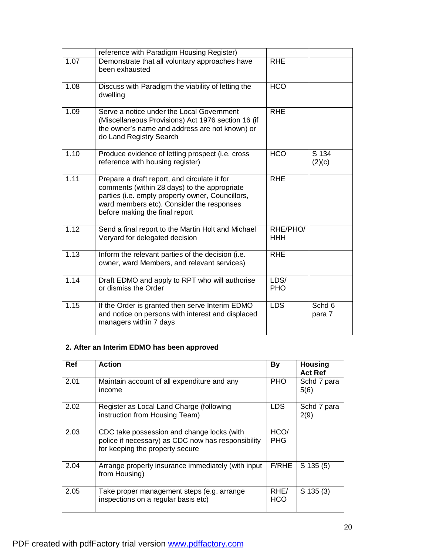|      | reference with Paradigm Housing Register)                                                                                                                                                                                       |                        |                   |
|------|---------------------------------------------------------------------------------------------------------------------------------------------------------------------------------------------------------------------------------|------------------------|-------------------|
| 1.07 | Demonstrate that all voluntary approaches have<br>been exhausted                                                                                                                                                                | <b>RHE</b>             |                   |
| 1.08 | Discuss with Paradigm the viability of letting the<br>dwelling                                                                                                                                                                  | <b>HCO</b>             |                   |
| 1.09 | Serve a notice under the Local Government<br>(Miscellaneous Provisions) Act 1976 section 16 (if<br>the owner's name and address are not known) or<br>do Land Registry Search                                                    | <b>RHE</b>             |                   |
| 1.10 | Produce evidence of letting prospect (i.e. cross<br>reference with housing register)                                                                                                                                            | <b>HCO</b>             | $S$ 134<br>(2)(c) |
| 1.11 | Prepare a draft report, and circulate it for<br>comments (within 28 days) to the appropriate<br>parties (i.e. empty property owner, Councillors,<br>ward members etc). Consider the responses<br>before making the final report | <b>RHE</b>             |                   |
| 1.12 | Send a final report to the Martin Holt and Michael<br>Veryard for delegated decision                                                                                                                                            | RHE/PHO/<br><b>HHH</b> |                   |
| 1.13 | Inform the relevant parties of the decision (i.e.<br>owner, ward Members, and relevant services)                                                                                                                                | <b>RHE</b>             |                   |
| 1.14 | Draft EDMO and apply to RPT who will authorise<br>or dismiss the Order                                                                                                                                                          | LDS/<br><b>PHO</b>     |                   |
| 1.15 | If the Order is granted then serve Interim EDMO<br>and notice on persons with interest and displaced<br>managers within 7 days                                                                                                  | <b>LDS</b>             | Schd 6<br>para 7  |

## **2. After an Interim EDMO has been approved**

| <b>Ref</b> | <b>Action</b>                                                                                                                       | By                 | <b>Housing</b><br><b>Act Ref</b> |
|------------|-------------------------------------------------------------------------------------------------------------------------------------|--------------------|----------------------------------|
| 2.01       | Maintain account of all expenditure and any<br>income                                                                               | <b>PHO</b>         | Schd 7 para<br>5(6)              |
| 2.02       | Register as Local Land Charge (following<br>instruction from Housing Team)                                                          | LDS.               | Schd 7 para<br>2(9)              |
| 2.03       | CDC take possession and change locks (with<br>police if necessary) as CDC now has responsibility<br>for keeping the property secure | HCO/<br><b>PHG</b> |                                  |
| 2.04       | Arrange property insurance immediately (with input<br>from Housing)                                                                 | F/RHE              | $S$ 135 $(5)$                    |
| 2.05       | Take proper management steps (e.g. arrange<br>inspections on a regular basis etc)                                                   | RHE/<br><b>HCO</b> | $S$ 135 $(3)$                    |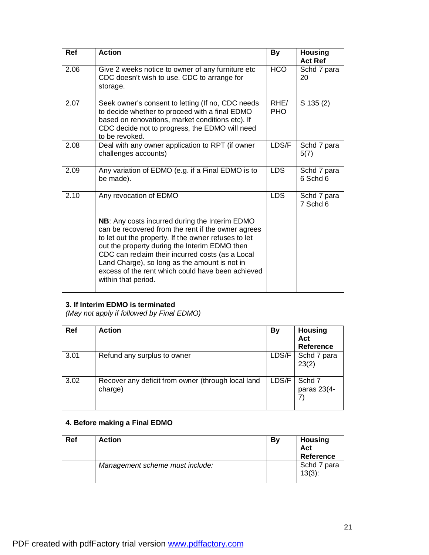| Ref  | <b>Action</b>                                                                                                                                                                                                                                                                                                                                                                                  | <b>By</b>          | <b>Housing</b><br><b>Act Ref</b> |
|------|------------------------------------------------------------------------------------------------------------------------------------------------------------------------------------------------------------------------------------------------------------------------------------------------------------------------------------------------------------------------------------------------|--------------------|----------------------------------|
| 2.06 | Give 2 weeks notice to owner of any furniture etc<br>CDC doesn't wish to use. CDC to arrange for<br>storage.                                                                                                                                                                                                                                                                                   | <b>HCO</b>         | Schd 7 para<br>20                |
| 2.07 | Seek owner's consent to letting (If no, CDC needs<br>to decide whether to proceed with a final EDMO<br>based on renovations, market conditions etc). If<br>CDC decide not to progress, the EDMO will need<br>to be revoked.                                                                                                                                                                    | RHE/<br><b>PHO</b> | $S$ 135 $(2)$                    |
| 2.08 | Deal with any owner application to RPT (if owner<br>challenges accounts)                                                                                                                                                                                                                                                                                                                       | LDS/F              | Schd 7 para<br>5(7)              |
| 2.09 | Any variation of EDMO (e.g. if a Final EDMO is to<br>be made).                                                                                                                                                                                                                                                                                                                                 | <b>LDS</b>         | Schd 7 para<br>6 Schd 6          |
| 2.10 | Any revocation of EDMO                                                                                                                                                                                                                                                                                                                                                                         | <b>LDS</b>         | Schd 7 para<br>7 Schd 6          |
|      | NB: Any costs incurred during the Interim EDMO<br>can be recovered from the rent if the owner agrees<br>to let out the property. If the owner refuses to let<br>out the property during the Interim EDMO then<br>CDC can reclaim their incurred costs (as a Local<br>Land Charge), so long as the amount is not in<br>excess of the rent which could have been achieved<br>within that period. |                    |                                  |

#### **3. If Interim EDMO is terminated**

*(May not apply if followed by Final EDMO)* 

| Ref  | <b>Action</b>                                                 | <b>By</b> | <b>Housing</b><br>Act<br>Reference |
|------|---------------------------------------------------------------|-----------|------------------------------------|
| 3.01 | Refund any surplus to owner                                   | LDS/F     | Schd 7 para<br>23(2)               |
| 3.02 | Recover any deficit from owner (through local land<br>charge) | LDS/F     | Schd 7<br>paras 23(4-              |

## **4. Before making a Final EDMO**

| <b>Ref</b> | <b>Action</b>                   | By | <b>Housing</b><br>Act<br>Reference |
|------------|---------------------------------|----|------------------------------------|
|            | Management scheme must include: |    | Schd 7 para<br>$13(3)$ :           |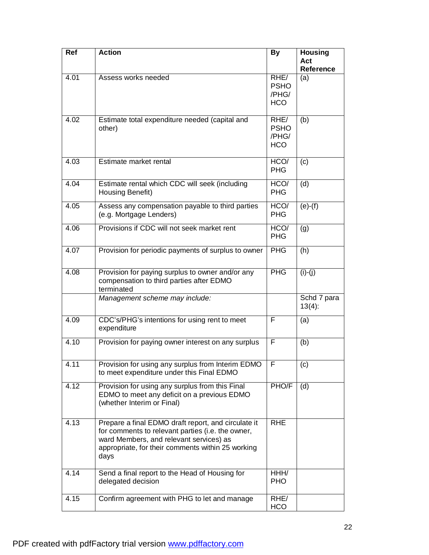| Ref  | <b>Action</b>                                                                                                                                                                                                    | <b>By</b>                                  | <b>Housing</b><br>Act<br><b>Reference</b> |
|------|------------------------------------------------------------------------------------------------------------------------------------------------------------------------------------------------------------------|--------------------------------------------|-------------------------------------------|
| 4.01 | Assess works needed                                                                                                                                                                                              | RHE/<br><b>PSHO</b><br>/PHG/<br><b>HCO</b> | (a)                                       |
| 4.02 | Estimate total expenditure needed (capital and<br>other)                                                                                                                                                         | RHE/<br><b>PSHO</b><br>/PHG/<br><b>HCO</b> | (b)                                       |
| 4.03 | Estimate market rental                                                                                                                                                                                           | HCO/<br><b>PHG</b>                         | (c)                                       |
| 4.04 | Estimate rental which CDC will seek (including<br>Housing Benefit)                                                                                                                                               | HCO/<br><b>PHG</b>                         | (d)                                       |
| 4.05 | Assess any compensation payable to third parties<br>(e.g. Mortgage Lenders)                                                                                                                                      | HCO/<br><b>PHG</b>                         | $(e)-(f)$                                 |
| 4.06 | Provisions if CDC will not seek market rent                                                                                                                                                                      | HCO/<br><b>PHG</b>                         | (g)                                       |
| 4.07 | Provision for periodic payments of surplus to owner                                                                                                                                                              | <b>PHG</b>                                 | (h)                                       |
| 4.08 | Provision for paying surplus to owner and/or any<br>compensation to third parties after EDMO<br>terminated                                                                                                       | <b>PHG</b>                                 | $(i)$ - $(j)$                             |
|      | Management scheme may include:                                                                                                                                                                                   |                                            | Schd 7 para<br>$13(4)$ :                  |
| 4.09 | CDC's/PHG's intentions for using rent to meet<br>expenditure                                                                                                                                                     | F                                          | (a)                                       |
| 4.10 | Provision for paying owner interest on any surplus                                                                                                                                                               | F                                          | (b)                                       |
| 4.11 | Provision for using any surplus from Interim EDMO<br>to meet expenditure under this Final EDMO                                                                                                                   | F                                          | (c)                                       |
| 4.12 | Provision for using any surplus from this Final<br>EDMO to meet any deficit on a previous EDMO<br>(whether Interim or Final)                                                                                     | PHO/F                                      | (d)                                       |
| 4.13 | Prepare a final EDMO draft report, and circulate it<br>for comments to relevant parties (i.e. the owner,<br>ward Members, and relevant services) as<br>appropriate, for their comments within 25 working<br>days | <b>RHE</b>                                 |                                           |
| 4.14 | Send a final report to the Head of Housing for<br>delegated decision                                                                                                                                             | HHH/<br><b>PHO</b>                         |                                           |
| 4.15 | Confirm agreement with PHG to let and manage                                                                                                                                                                     | RHE/<br><b>HCO</b>                         |                                           |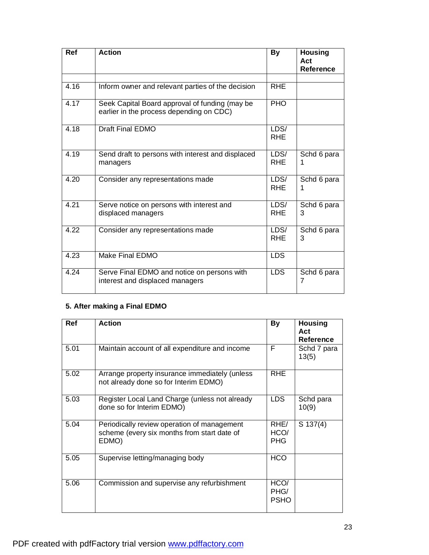| <b>Ref</b> | <b>Action</b>                                                                              | <b>By</b>          | <b>Housing</b><br>Act<br>Reference |
|------------|--------------------------------------------------------------------------------------------|--------------------|------------------------------------|
|            |                                                                                            |                    |                                    |
| 4.16       | Inform owner and relevant parties of the decision                                          | <b>RHE</b>         |                                    |
| 4.17       | Seek Capital Board approval of funding (may be<br>earlier in the process depending on CDC) | PHO                |                                    |
| 4.18       | <b>Draft Final EDMO</b>                                                                    | LDS/<br><b>RHE</b> |                                    |
| 4.19       | Send draft to persons with interest and displaced<br>managers                              | LDS/<br><b>RHE</b> | Schd 6 para<br>1                   |
| 4.20       | Consider any representations made                                                          | LDS/<br><b>RHE</b> | Schd 6 para<br>1                   |
| 4.21       | Serve notice on persons with interest and<br>displaced managers                            | LDS/<br><b>RHE</b> | Schd 6 para<br>3                   |
| 4.22       | Consider any representations made                                                          | LDS/<br><b>RHE</b> | Schd 6 para<br>3                   |
| 4.23       | Make Final EDMO                                                                            | <b>LDS</b>         |                                    |
| 4.24       | Serve Final EDMO and notice on persons with<br>interest and displaced managers             | <b>LDS</b>         | Schd 6 para<br>7                   |

## **5. After making a Final EDMO**

| Ref  | <b>Action</b>                                                                                       | <b>By</b>                   | <b>Housing</b><br>Act<br><b>Reference</b> |
|------|-----------------------------------------------------------------------------------------------------|-----------------------------|-------------------------------------------|
| 5.01 | Maintain account of all expenditure and income                                                      | F                           | Schd 7 para<br>13(5)                      |
| 5.02 | Arrange property insurance immediately (unless<br>not already done so for Interim EDMO)             | <b>RHE</b>                  |                                           |
| 5.03 | Register Local Land Charge (unless not already<br>done so for Interim EDMO)                         | <b>LDS</b>                  | Schd para<br>10(9)                        |
| 5.04 | Periodically review operation of management<br>scheme (every six months from start date of<br>EDMO) | RHE/<br>HCO/<br><b>PHG</b>  | $S$ 137(4)                                |
| 5.05 | Supervise letting/managing body                                                                     | <b>HCO</b>                  |                                           |
| 5.06 | Commission and supervise any refurbishment                                                          | HCO/<br>PHG/<br><b>PSHO</b> |                                           |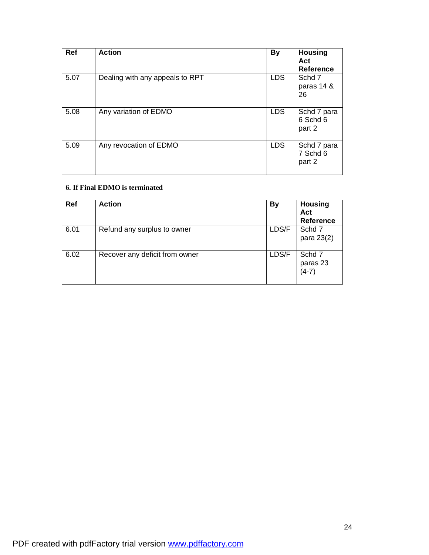| <b>Ref</b> | <b>Action</b>                   | <b>By</b>  | <b>Housing</b><br>Act<br><b>Reference</b> |
|------------|---------------------------------|------------|-------------------------------------------|
| 5.07       | Dealing with any appeals to RPT | <b>LDS</b> | Schd 7<br>paras 14 &<br>26                |
| 5.08       | Any variation of EDMO           | <b>LDS</b> | Schd 7 para<br>6 Schd 6<br>part 2         |
| 5.09       | Any revocation of EDMO          | <b>LDS</b> | Schd 7 para<br>7 Schd 6<br>part 2         |

## **6. If Final EDMO is terminated**

| Ref  | <b>Action</b>                  | <b>By</b> | <b>Housing</b><br>Act<br><b>Reference</b> |
|------|--------------------------------|-----------|-------------------------------------------|
| 6.01 | Refund any surplus to owner    | LDS/F     | Schd 7<br>para 23(2)                      |
| 6.02 | Recover any deficit from owner | LDS/F     | Schd 7<br>paras 23<br>$(4-7)$             |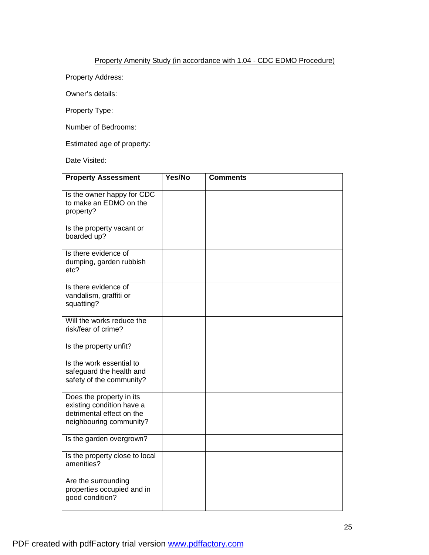#### Property Amenity Study (in accordance with 1.04 - CDC EDMO Procedure)

Property Address:

Owner's details:

Property Type:

Number of Bedrooms:

Estimated age of property:

Date Visited:

| <b>Property Assessment</b>                                                                                    | Yes/No | <b>Comments</b> |
|---------------------------------------------------------------------------------------------------------------|--------|-----------------|
| Is the owner happy for CDC<br>to make an EDMO on the<br>property?                                             |        |                 |
| Is the property vacant or<br>boarded up?                                                                      |        |                 |
| Is there evidence of<br>dumping, garden rubbish<br>etc?                                                       |        |                 |
| Is there evidence of<br>vandalism, graffiti or<br>squatting?                                                  |        |                 |
| Will the works reduce the<br>risk/fear of crime?                                                              |        |                 |
| Is the property unfit?                                                                                        |        |                 |
| Is the work essential to<br>safeguard the health and<br>safety of the community?                              |        |                 |
| Does the property in its<br>existing condition have a<br>detrimental effect on the<br>neighbouring community? |        |                 |
| Is the garden overgrown?                                                                                      |        |                 |
| Is the property close to local<br>amenities?                                                                  |        |                 |
| Are the surrounding<br>properties occupied and in<br>good condition?                                          |        |                 |